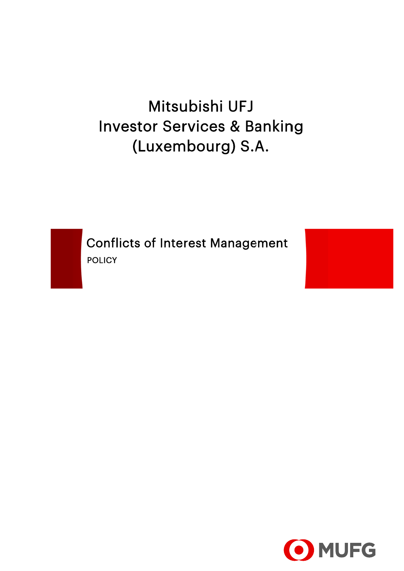# Investor Services & Banking (Luxembourg) S.A. Mitsubishi UFJ

Conflicts of Interest Management POLICY

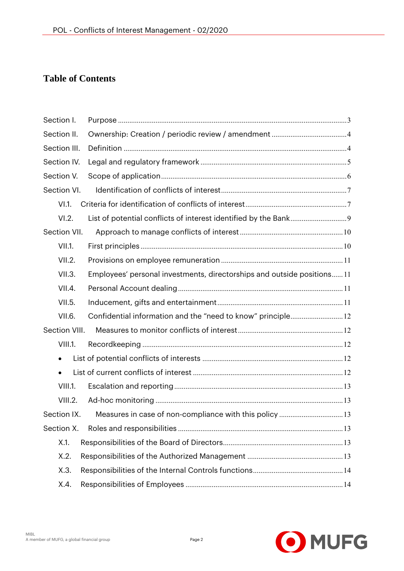## **Table of Contents**

| Section I.     |                                                                        |  |  |  |  |  |
|----------------|------------------------------------------------------------------------|--|--|--|--|--|
| Section II.    |                                                                        |  |  |  |  |  |
| Section III.   |                                                                        |  |  |  |  |  |
| Section IV.    |                                                                        |  |  |  |  |  |
| Section V.     |                                                                        |  |  |  |  |  |
| Section VI.    |                                                                        |  |  |  |  |  |
| V1.1.          |                                                                        |  |  |  |  |  |
| VI.2.          |                                                                        |  |  |  |  |  |
| Section VII.   |                                                                        |  |  |  |  |  |
| VII.1.         |                                                                        |  |  |  |  |  |
| VII.2.         |                                                                        |  |  |  |  |  |
| VII.3.         | Employees' personal investments, directorships and outside positions11 |  |  |  |  |  |
| VII.4.         |                                                                        |  |  |  |  |  |
| VII.5.         |                                                                        |  |  |  |  |  |
| VII.6.         |                                                                        |  |  |  |  |  |
| Section VIII.  |                                                                        |  |  |  |  |  |
| <b>VIII.1.</b> |                                                                        |  |  |  |  |  |
| $\bullet$      |                                                                        |  |  |  |  |  |
|                |                                                                        |  |  |  |  |  |
| <b>VIII.1.</b> |                                                                        |  |  |  |  |  |
| VIII.2.        |                                                                        |  |  |  |  |  |
| Section IX.    |                                                                        |  |  |  |  |  |
| Section X.     |                                                                        |  |  |  |  |  |
| X.1.           |                                                                        |  |  |  |  |  |
| X.2.           |                                                                        |  |  |  |  |  |
| X.3.           |                                                                        |  |  |  |  |  |
| X.4.           |                                                                        |  |  |  |  |  |

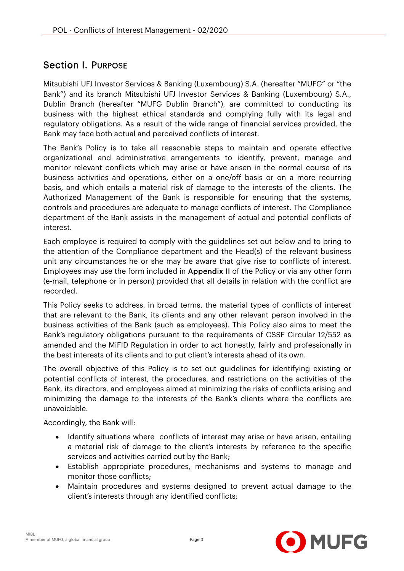## Section I. PURPOSE

Mitsubishi UFJ Investor Services & Banking (Luxembourg) S.A. (hereafter "MUFG" or "the Bank") and its branch Mitsubishi UFJ Investor Services & Banking (Luxembourg) S.A., Dublin Branch (hereafter "MUFG Dublin Branch"), are committed to conducting its business with the highest ethical standards and complying fully with its legal and regulatory obligations. As a result of the wide range of financial services provided, the Bank may face both actual and perceived conflicts of interest.

The Bank's Policy is to take all reasonable steps to maintain and operate effective organizational and administrative arrangements to identify, prevent, manage and monitor relevant conflicts which may arise or have arisen in the normal course of its business activities and operations, either on a one/off basis or on a more recurring basis, and which entails a material risk of damage to the interests of the clients. The Authorized Management of the Bank is responsible for ensuring that the systems, controls and procedures are adequate to manage conflicts of interest. The Compliance department of the Bank assists in the management of actual and potential conflicts of interest.

Each employee is required to comply with the guidelines set out below and to bring to the attention of the Compliance department and the Head(s) of the relevant business unit any circumstances he or she may be aware that give rise to conflicts of interest. Employees may use the form included in Appendix II of the Policy or via any other form (e-mail, telephone or in person) provided that all details in relation with the conflict are recorded.

This Policy seeks to address, in broad terms, the material types of conflicts of interest that are relevant to the Bank, its clients and any other relevant person involved in the business activities of the Bank (such as employees). This Policy also aims to meet the Bank's regulatory obligations pursuant to the requirements of CSSF Circular 12/552 as amended and the MiFID Regulation in order to act honestly, fairly and professionally in the best interests of its clients and to put client's interests ahead of its own.

The overall objective of this Policy is to set out guidelines for identifying existing or potential conflicts of interest, the procedures, and restrictions on the activities of the Bank, its directors, and employees aimed at minimizing the risks of conflicts arising and minimizing the damage to the interests of the Bank's clients where the conflicts are unavoidable.

Accordingly, the Bank will:

- Identify situations where conflicts of interest may arise or have arisen, entailing a material risk of damage to the client's interests by reference to the specific services and activities carried out by the Bank;
- Establish appropriate procedures, mechanisms and systems to manage and monitor those conflicts;
- Maintain procedures and systems designed to prevent actual damage to the client's interests through any identified conflicts;

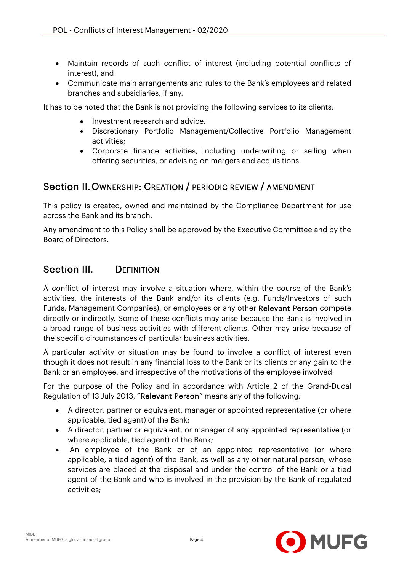- Maintain records of such conflict of interest (including potential conflicts of interest); and
- Communicate main arrangements and rules to the Bank's employees and related branches and subsidiaries, if any.

It has to be noted that the Bank is not providing the following services to its clients:

- Investment research and advice;
- Discretionary Portfolio Management/Collective Portfolio Management activities;
- Corporate finance activities, including underwriting or selling when offering securities, or advising on mergers and acquisitions.

# Section II.OWNERSHIP: CREATION / PERIODIC REVIEW / AMENDMENT

This policy is created, owned and maintained by the Compliance Department for use across the Bank and its branch.

Any amendment to this Policy shall be approved by the Executive Committee and by the Board of Directors.

## Section III. DEFINITION

A conflict of interest may involve a situation where, within the course of the Bank's activities, the interests of the Bank and/or its clients (e.g. Funds/Investors of such Funds, Management Companies), or employees or any other Relevant Person compete directly or indirectly. Some of these conflicts may arise because the Bank is involved in a broad range of business activities with different clients. Other may arise because of the specific circumstances of particular business activities.

A particular activity or situation may be found to involve a conflict of interest even though it does not result in any financial loss to the Bank or its clients or any gain to the Bank or an employee, and irrespective of the motivations of the employee involved.

For the purpose of the Policy and in accordance with Article 2 of the Grand-Ducal Regulation of 13 July 2013, "Relevant Person" means any of the following:

- A director, partner or equivalent, manager or appointed representative (or where applicable, tied agent) of the Bank;
- A director, partner or equivalent, or manager of any appointed representative (or where applicable, tied agent) of the Bank;
- An employee of the Bank or of an appointed representative (or where applicable, a tied agent) of the Bank, as well as any other natural person, whose services are placed at the disposal and under the control of the Bank or a tied agent of the Bank and who is involved in the provision by the Bank of regulated activities;

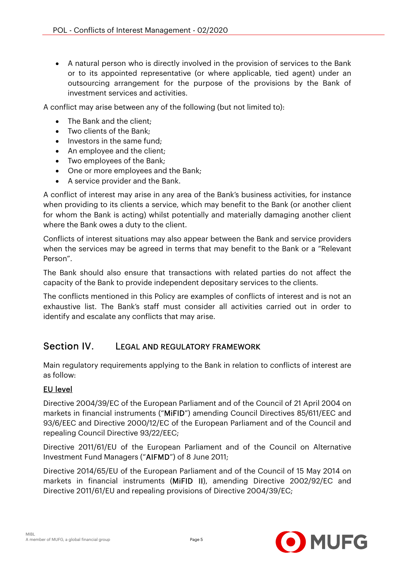A natural person who is directly involved in the provision of services to the Bank or to its appointed representative (or where applicable, tied agent) under an outsourcing arrangement for the purpose of the provisions by the Bank of investment services and activities.

A conflict may arise between any of the following (but not limited to):

- The Bank and the client;
- Two clients of the Bank:
- $\bullet$  Investors in the same fund:
- An employee and the client;
- Two employees of the Bank;
- One or more employees and the Bank;
- A service provider and the Bank.

A conflict of interest may arise in any area of the Bank's business activities, for instance when providing to its clients a service, which may benefit to the Bank (or another client for whom the Bank is acting) whilst potentially and materially damaging another client where the Bank owes a duty to the client.

Conflicts of interest situations may also appear between the Bank and service providers when the services may be agreed in terms that may benefit to the Bank or a "Relevant Person".

The Bank should also ensure that transactions with related parties do not affect the capacity of the Bank to provide independent depositary services to the clients.

The conflicts mentioned in this Policy are examples of conflicts of interest and is not an exhaustive list. The Bank's staff must consider all activities carried out in order to identify and escalate any conflicts that may arise.

## Section IV. **LEGAL AND REGULATORY FRAMEWORK**

Main regulatory requirements applying to the Bank in relation to conflicts of interest are as follow:

#### EU level

Directive 2004/39/EC of the European Parliament and of the Council of 21 April 2004 on markets in financial instruments ("MiFID") amending Council Directives 85/611/EEC and 93/6/EEC and Directive 2000/12/EC of the European Parliament and of the Council and repealing Council Directive 93/22/EEC;

Directive 2011/61/EU of the European Parliament and of the Council on Alternative Investment Fund Managers ("AIFMD") of 8 June 2011;

Directive 2014/65/EU of the European Parliament and of the Council of 15 May 2014 on markets in financial instruments (MiFID II), amending Directive 2002/92/EC and Directive 2011/61/EU and repealing provisions of Directive 2004/39/EC;



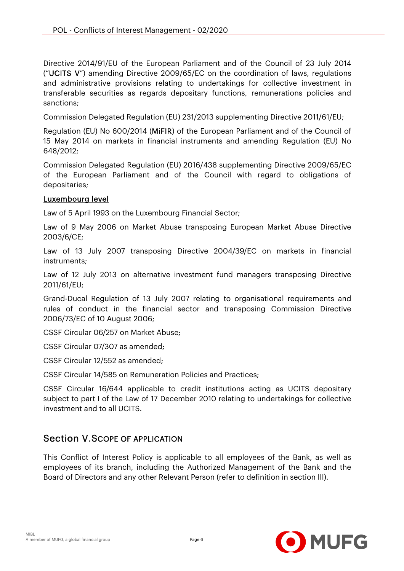Directive 2014/91/EU of the European Parliament and of the Council of 23 July 2014 ("UCITS V") amending Directive 2009/65/EC on the coordination of laws, regulations and administrative provisions relating to undertakings for collective investment in transferable securities as regards depositary functions, remunerations policies and sanctions;

Commission Delegated Regulation (EU) 231/2013 supplementing Directive 2011/61/EU;

Regulation (EU) No 600/2014 (MiFIR) of the European Parliament and of the Council of 15 May 2014 on markets in financial instruments and amending Regulation (EU) No 648/2012;

Commission Delegated Regulation (EU) 2016/438 supplementing Directive 2009/65/EC of the European Parliament and of the Council with regard to obligations of depositaries;

#### Luxembourg level

Law of 5 April 1993 on the Luxembourg Financial Sector;

Law of 9 May 2006 on Market Abuse transposing European Market Abuse Directive 2003/6/CE;

Law of 13 July 2007 transposing Directive 2004/39/EC on markets in financial instruments;

Law of 12 July 2013 on alternative investment fund managers transposing Directive 2011/61/EU;

Grand-Ducal Regulation of 13 July 2007 relating to organisational requirements and rules of conduct in the financial sector and transposing Commission Directive 2006/73/EC of 10 August 2006;

CSSF Circular 06/257 on Market Abuse;

CSSF Circular 07/307 as amended;

CSSF Circular 12/552 as amended;

CSSF Circular 14/585 on Remuneration Policies and Practices;

CSSF Circular 16/644 applicable to credit institutions acting as UCITS depositary subject to part I of the Law of 17 December 2010 relating to undertakings for collective investment and to all UCITS.

## Section V.SCOPE OF APPLICATION

This Conflict of Interest Policy is applicable to all employees of the Bank, as well as employees of its branch, including the Authorized Management of the Bank and the Board of Directors and any other Relevant Person (refer to definition in section III).

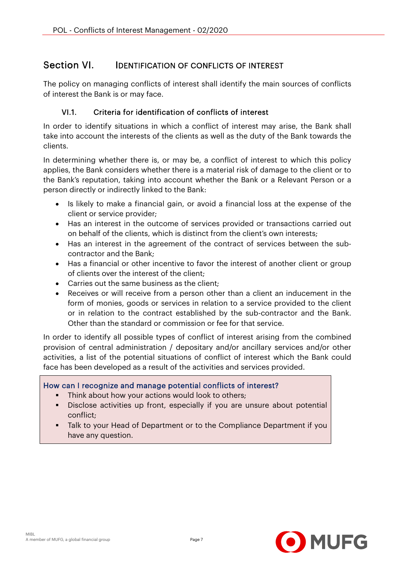## Section VI. **IDENTIFICATION OF CONFLICTS OF INTEREST**

The policy on managing conflicts of interest shall identify the main sources of conflicts of interest the Bank is or may face.

#### VI.1. Criteria for identification of conflicts of interest

In order to identify situations in which a conflict of interest may arise, the Bank shall take into account the interests of the clients as well as the duty of the Bank towards the clients.

In determining whether there is, or may be, a conflict of interest to which this policy applies, the Bank considers whether there is a material risk of damage to the client or to the Bank's reputation, taking into account whether the Bank or a Relevant Person or a person directly or indirectly linked to the Bank:

- Is likely to make a financial gain, or avoid a financial loss at the expense of the client or service provider;
- Has an interest in the outcome of services provided or transactions carried out on behalf of the clients, which is distinct from the client's own interests;
- Has an interest in the agreement of the contract of services between the subcontractor and the Bank;
- Has a financial or other incentive to favor the interest of another client or group of clients over the interest of the client;
- Carries out the same business as the client;
- Receives or will receive from a person other than a client an inducement in the form of monies, goods or services in relation to a service provided to the client or in relation to the contract established by the sub-contractor and the Bank. Other than the standard or commission or fee for that service.

In order to identify all possible types of conflict of interest arising from the combined provision of central administration / depositary and/or ancillary services and/or other activities, a list of the potential situations of conflict of interest which the Bank could face has been developed as a result of the activities and services provided.

#### How can I recognize and manage potential conflicts of interest?

- Think about how your actions would look to others;
- Disclose activities up front, especially if you are unsure about potential conflict;
- Talk to your Head of Department or to the Compliance Department if you have any question.

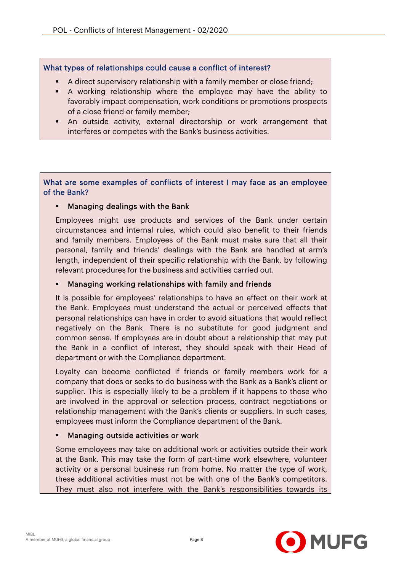#### What types of relationships could cause a conflict of interest?

- A direct supervisory relationship with a family member or close friend;
- A working relationship where the employee may have the ability to favorably impact compensation, work conditions or promotions prospects of a close friend or family member;
- An outside activity, external directorship or work arrangement that interferes or competes with the Bank's business activities.

#### What are some examples of conflicts of interest I may face as an employee of the Bank?

#### Managing dealings with the Bank

Employees might use products and services of the Bank under certain circumstances and internal rules, which could also benefit to their friends and family members. Employees of the Bank must make sure that all their personal, family and friends' dealings with the Bank are handled at arm's length, independent of their specific relationship with the Bank, by following relevant procedures for the business and activities carried out.

#### Managing working relationships with family and friends

It is possible for employees' relationships to have an effect on their work at the Bank. Employees must understand the actual or perceived effects that personal relationships can have in order to avoid situations that would reflect negatively on the Bank. There is no substitute for good judgment and common sense. If employees are in doubt about a relationship that may put the Bank in a conflict of interest, they should speak with their Head of department or with the Compliance department.

Loyalty can become conflicted if friends or family members work for a company that does or seeks to do business with the Bank as a Bank's client or supplier. This is especially likely to be a problem if it happens to those who are involved in the approval or selection process, contract negotiations or relationship management with the Bank's clients or suppliers. In such cases, employees must inform the Compliance department of the Bank.

#### Managing outside activities or work

Some employees may take on additional work or activities outside their work at the Bank. This may take the form of part-time work elsewhere, volunteer activity or a personal business run from home. No matter the type of work, these additional activities must not be with one of the Bank's competitors. They must also not interfere with the Bank's responsibilities towards its

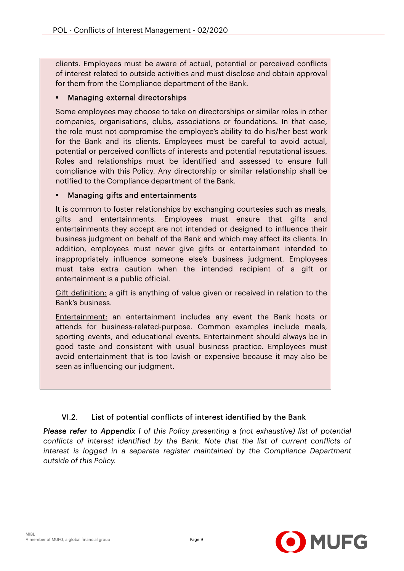clients. Employees must be aware of actual, potential or perceived conflicts of interest related to outside activities and must disclose and obtain approval for them from the Compliance department of the Bank.

#### Managing external directorships

Some employees may choose to take on directorships or similar roles in other companies, organisations, clubs, associations or foundations. In that case, the role must not compromise the employee's ability to do his/her best work for the Bank and its clients. Employees must be careful to avoid actual, potential or perceived conflicts of interests and potential reputational issues. Roles and relationships must be identified and assessed to ensure full compliance with this Policy. Any directorship or similar relationship shall be notified to the Compliance department of the Bank.

#### Managing gifts and entertainments

It is common to foster relationships by exchanging courtesies such as meals, gifts and entertainments. Employees must ensure that gifts and entertainments they accept are not intended or designed to influence their business judgment on behalf of the Bank and which may affect its clients. In addition, employees must never give gifts or entertainment intended to inappropriately influence someone else's business judgment. Employees must take extra caution when the intended recipient of a gift or entertainment is a public official.

Gift definition: a gift is anything of value given or received in relation to the Bank's business.

Entertainment: an entertainment includes any event the Bank hosts or attends for business-related-purpose. Common examples include meals, sporting events, and educational events. Entertainment should always be in good taste and consistent with usual business practice. Employees must avoid entertainment that is too lavish or expensive because it may also be seen as influencing our judgment.

## VI.2. List of potential conflicts of interest identified by the Bank

*Please refer to Appendix I of this Policy presenting a (not exhaustive) list of potential conflicts of interest identified by the Bank. Note that the list of current conflicts of interest is logged in a separate register maintained by the Compliance Department outside of this Policy.* 

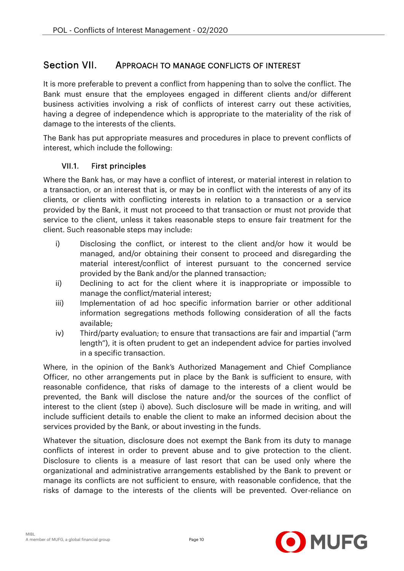## Section VII. APPROACH TO MANAGE CONFLICTS OF INTEREST

It is more preferable to prevent a conflict from happening than to solve the conflict. The Bank must ensure that the employees engaged in different clients and/or different business activities involving a risk of conflicts of interest carry out these activities, having a degree of independence which is appropriate to the materiality of the risk of damage to the interests of the clients.

The Bank has put appropriate measures and procedures in place to prevent conflicts of interest, which include the following:

#### VII.1. First principles

Where the Bank has, or may have a conflict of interest, or material interest in relation to a transaction, or an interest that is, or may be in conflict with the interests of any of its clients, or clients with conflicting interests in relation to a transaction or a service provided by the Bank, it must not proceed to that transaction or must not provide that service to the client, unless it takes reasonable steps to ensure fair treatment for the client. Such reasonable steps may include:

- i) Disclosing the conflict, or interest to the client and/or how it would be managed, and/or obtaining their consent to proceed and disregarding the material interest/conflict of interest pursuant to the concerned service provided by the Bank and/or the planned transaction;
- ii) Declining to act for the client where it is inappropriate or impossible to manage the conflict/material interest;
- iii) Implementation of ad hoc specific information barrier or other additional information segregations methods following consideration of all the facts available;
- iv) Third/party evaluation; to ensure that transactions are fair and impartial ("arm length"), it is often prudent to get an independent advice for parties involved in a specific transaction.

Where, in the opinion of the Bank's Authorized Management and Chief Compliance Officer, no other arrangements put in place by the Bank is sufficient to ensure, with reasonable confidence, that risks of damage to the interests of a client would be prevented, the Bank will disclose the nature and/or the sources of the conflict of interest to the client (step i) above). Such disclosure will be made in writing, and will include sufficient details to enable the client to make an informed decision about the services provided by the Bank, or about investing in the funds.

Whatever the situation, disclosure does not exempt the Bank from its duty to manage conflicts of interest in order to prevent abuse and to give protection to the client. Disclosure to clients is a measure of last resort that can be used only where the organizational and administrative arrangements established by the Bank to prevent or manage its conflicts are not sufficient to ensure, with reasonable confidence, that the risks of damage to the interests of the clients will be prevented. Over-reliance on

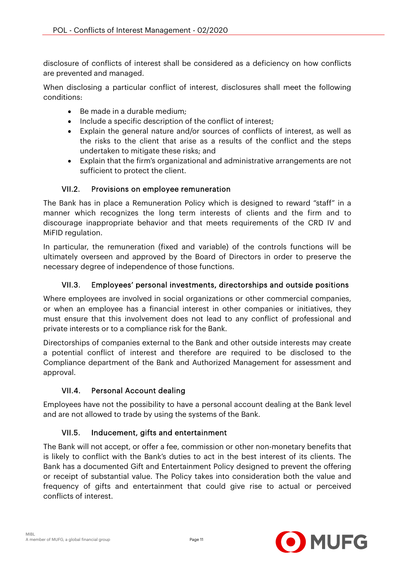disclosure of conflicts of interest shall be considered as a deficiency on how conflicts are prevented and managed.

When disclosing a particular conflict of interest, disclosures shall meet the following conditions:

- Be made in a durable medium;
- Include a specific description of the conflict of interest;
- Explain the general nature and/or sources of conflicts of interest, as well as the risks to the client that arise as a results of the conflict and the steps undertaken to mitigate these risks; and
- Explain that the firm's organizational and administrative arrangements are not sufficient to protect the client.

#### VII.2. Provisions on employee remuneration

The Bank has in place a Remuneration Policy which is designed to reward "staff" in a manner which recognizes the long term interests of clients and the firm and to discourage inappropriate behavior and that meets requirements of the CRD IV and MiFID regulation.

In particular, the remuneration (fixed and variable) of the controls functions will be ultimately overseen and approved by the Board of Directors in order to preserve the necessary degree of independence of those functions.

#### VII.3. Employees' personal investments, directorships and outside positions

Where employees are involved in social organizations or other commercial companies, or when an employee has a financial interest in other companies or initiatives, they must ensure that this involvement does not lead to any conflict of professional and private interests or to a compliance risk for the Bank.

Directorships of companies external to the Bank and other outside interests may create a potential conflict of interest and therefore are required to be disclosed to the Compliance department of the Bank and Authorized Management for assessment and approval.

## VII.4. Personal Account dealing

Employees have not the possibility to have a personal account dealing at the Bank level and are not allowed to trade by using the systems of the Bank.

#### VII.5. Inducement, gifts and entertainment

The Bank will not accept, or offer a fee, commission or other non-monetary benefits that is likely to conflict with the Bank's duties to act in the best interest of its clients. The Bank has a documented Gift and Entertainment Policy designed to prevent the offering or receipt of substantial value. The Policy takes into consideration both the value and frequency of gifts and entertainment that could give rise to actual or perceived conflicts of interest.

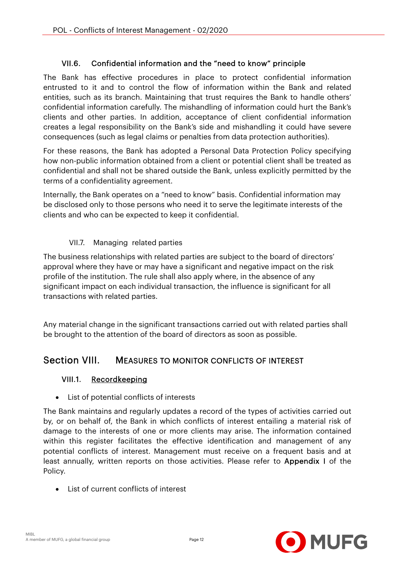#### VII.6. Confidential information and the "need to know" principle

The Bank has effective procedures in place to protect confidential information entrusted to it and to control the flow of information within the Bank and related entities, such as its branch. Maintaining that trust requires the Bank to handle others' confidential information carefully. The mishandling of information could hurt the Bank's clients and other parties. In addition, acceptance of client confidential information creates a legal responsibility on the Bank's side and mishandling it could have severe consequences (such as legal claims or penalties from data protection authorities).

For these reasons, the Bank has adopted a Personal Data Protection Policy specifying how non-public information obtained from a client or potential client shall be treated as confidential and shall not be shared outside the Bank, unless explicitly permitted by the terms of a confidentiality agreement.

Internally, the Bank operates on a "need to know" basis. Confidential information may be disclosed only to those persons who need it to serve the legitimate interests of the clients and who can be expected to keep it confidential.

#### VII.7. Managing related parties

The business relationships with related parties are subject to the board of directors' approval where they have or may have a significant and negative impact on the risk profile of the institution. The rule shall also apply where, in the absence of any significant impact on each individual transaction, the influence is significant for all transactions with related parties.

Any material change in the significant transactions carried out with related parties shall be brought to the attention of the board of directors as soon as possible.

## Section VIII. MEASURES TO MONITOR CONFLICTS OF INTEREST

#### VIII.1. Recordkeeping

List of potential conflicts of interests

The Bank maintains and regularly updates a record of the types of activities carried out by, or on behalf of, the Bank in which conflicts of interest entailing a material risk of damage to the interests of one or more clients may arise. The information contained within this register facilitates the effective identification and management of any potential conflicts of interest. Management must receive on a frequent basis and at least annually, written reports on those activities. Please refer to **Appendix I** of the Policy.

• List of current conflicts of interest

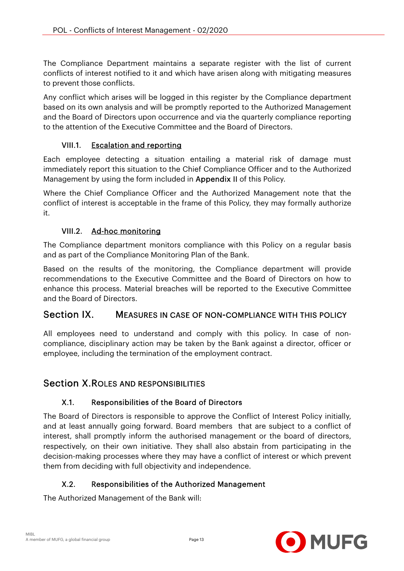The Compliance Department maintains a separate register with the list of current conflicts of interest notified to it and which have arisen along with mitigating measures to prevent those conflicts.

Any conflict which arises will be logged in this register by the Compliance department based on its own analysis and will be promptly reported to the Authorized Management and the Board of Directors upon occurrence and via the quarterly compliance reporting to the attention of the Executive Committee and the Board of Directors.

#### VIII.1. Escalation and reporting

Each employee detecting a situation entailing a material risk of damage must immediately report this situation to the Chief Compliance Officer and to the Authorized Management by using the form included in Appendix II of this Policy.

Where the Chief Compliance Officer and the Authorized Management note that the conflict of interest is acceptable in the frame of this Policy, they may formally authorize it.

#### VIII.2. Ad-hoc monitoring

The Compliance department monitors compliance with this Policy on a regular basis and as part of the Compliance Monitoring Plan of the Bank.

Based on the results of the monitoring, the Compliance department will provide recommendations to the Executive Committee and the Board of Directors on how to enhance this process. Material breaches will be reported to the Executive Committee and the Board of Directors.

## Section IX. MEASURES IN CASE OF NON-COMPLIANCE WITH THIS POLICY

All employees need to understand and comply with this policy. In case of noncompliance, disciplinary action may be taken by the Bank against a director, officer or employee, including the termination of the employment contract.

## Section X. ROLES AND RESPONSIBILITIES

#### X.1. Responsibilities of the Board of Directors

The Board of Directors is responsible to approve the Conflict of Interest Policy initially, and at least annually going forward. Board members that are subject to a conflict of interest, shall promptly inform the authorised management or the board of directors, respectively, on their own initiative. They shall also abstain from participating in the decision-making processes where they may have a conflict of interest or which prevent them from deciding with full objectivity and independence.

#### X.2. Responsibilities of the Authorized Management

The Authorized Management of the Bank will:

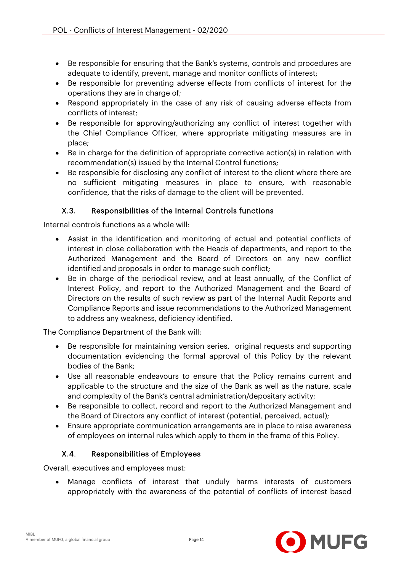- Be responsible for ensuring that the Bank's systems, controls and procedures are adequate to identify, prevent, manage and monitor conflicts of interest;
- Be responsible for preventing adverse effects from conflicts of interest for the operations they are in charge of;
- Respond appropriately in the case of any risk of causing adverse effects from conflicts of interest;
- Be responsible for approving/authorizing any conflict of interest together with the Chief Compliance Officer, where appropriate mitigating measures are in place;
- Be in charge for the definition of appropriate corrective action(s) in relation with recommendation(s) issued by the Internal Control functions;
- Be responsible for disclosing any conflict of interest to the client where there are no sufficient mitigating measures in place to ensure, with reasonable confidence, that the risks of damage to the client will be prevented.

## X.3. Responsibilities of the Internal Controls functions

Internal controls functions as a whole will:

- Assist in the identification and monitoring of actual and potential conflicts of interest in close collaboration with the Heads of departments, and report to the Authorized Management and the Board of Directors on any new conflict identified and proposals in order to manage such conflict;
- Be in charge of the periodical review, and at least annually, of the Conflict of Interest Policy, and report to the Authorized Management and the Board of Directors on the results of such review as part of the Internal Audit Reports and Compliance Reports and issue recommendations to the Authorized Management to address any weakness, deficiency identified.

The Compliance Department of the Bank will:

- Be responsible for maintaining version series, original requests and supporting documentation evidencing the formal approval of this Policy by the relevant bodies of the Bank;
- Use all reasonable endeavours to ensure that the Policy remains current and applicable to the structure and the size of the Bank as well as the nature, scale and complexity of the Bank's central administration/depositary activity;
- Be responsible to collect, record and report to the Authorized Management and the Board of Directors any conflict of interest (potential, perceived, actual);
- Ensure appropriate communication arrangements are in place to raise awareness of employees on internal rules which apply to them in the frame of this Policy.

## X.4. Responsibilities of Employees

Overall, executives and employees must:

 Manage conflicts of interest that unduly harms interests of customers appropriately with the awareness of the potential of conflicts of interest based

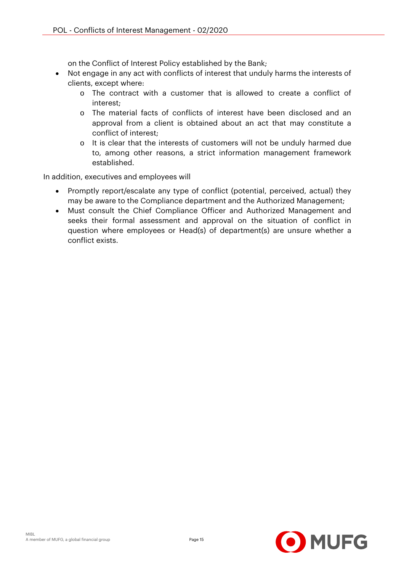on the Conflict of Interest Policy established by the Bank;

- Not engage in any act with conflicts of interest that unduly harms the interests of clients, except where:
	- o The contract with a customer that is allowed to create a conflict of interest;
	- o The material facts of conflicts of interest have been disclosed and an approval from a client is obtained about an act that may constitute a conflict of interest;
	- o It is clear that the interests of customers will not be unduly harmed due to, among other reasons, a strict information management framework established.

In addition, executives and employees will

- Promptly report/escalate any type of conflict (potential, perceived, actual) they may be aware to the Compliance department and the Authorized Management;
- Must consult the Chief Compliance Officer and Authorized Management and seeks their formal assessment and approval on the situation of conflict in question where employees or Head(s) of department(s) are unsure whether a conflict exists.

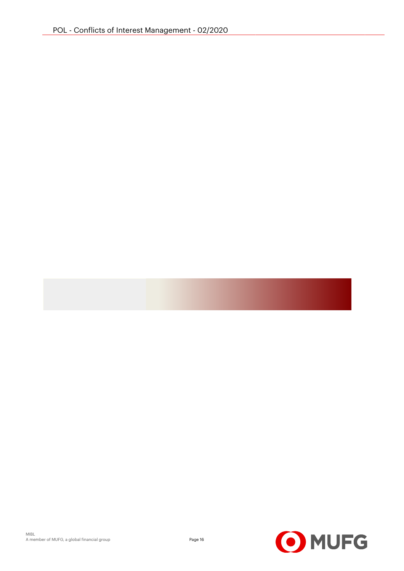

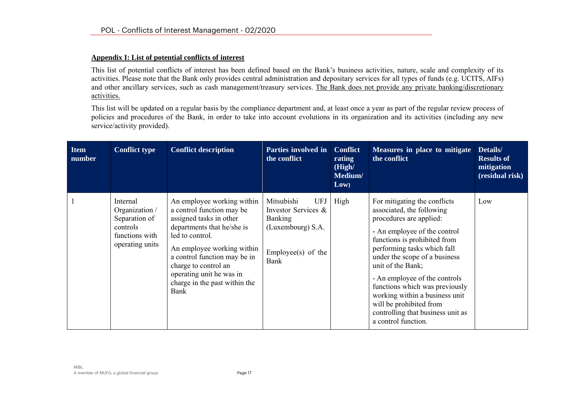#### **Appendix I: List of potential conflicts of interest**

This list of potential conflicts of interest has been defined based on the Bank's business activities, nature, scale and complexity of its activities. Please note that the Bank only provides central administration and depositary services for all types of funds (e.g. UCITS, AIFs) and other ancillary services, such as cash management/treasury services. The Bank does not provide any private banking/discretionary activities.

This list will be updated on a regular basis by the compliance department and, at least once a year as part of the regular review process of policies and procedures of the Bank, in order to take into account evolutions in its organization and its activities (including any new service/activity provided).

| <b>Item</b><br>number | <b>Conflict type</b>                                                                         | <b>Conflict description</b>                                                                                                                                                                                                                                                                    | <b>Parties involved in</b><br>the conflict                                                                             | <b>Conflict</b><br>rating<br>(High)<br>Medium/<br>Low) | Measures in place to mitigate<br>the conflict                                                                                                                                                                                                                                                                                                                                                                                         | Details/<br><b>Results of</b><br>mitigation<br>(residual risk) |
|-----------------------|----------------------------------------------------------------------------------------------|------------------------------------------------------------------------------------------------------------------------------------------------------------------------------------------------------------------------------------------------------------------------------------------------|------------------------------------------------------------------------------------------------------------------------|--------------------------------------------------------|---------------------------------------------------------------------------------------------------------------------------------------------------------------------------------------------------------------------------------------------------------------------------------------------------------------------------------------------------------------------------------------------------------------------------------------|----------------------------------------------------------------|
|                       | Internal<br>Organization /<br>Separation of<br>controls<br>functions with<br>operating units | An employee working within<br>a control function may be<br>assigned tasks in other<br>departments that he/she is<br>led to control.<br>An employee working within<br>a control function may be in<br>charge to control an<br>operating unit he was in<br>charge in the past within the<br>Bank | Mitsubishi<br><b>UFJ</b><br>Investor Services &<br><b>Banking</b><br>(Luxembourg) S.A.<br>$Employee(s)$ of the<br>Bank | High                                                   | For mitigating the conflicts<br>associated, the following<br>procedures are applied:<br>- An employee of the control<br>functions is prohibited from<br>performing tasks which fall<br>under the scope of a business<br>unit of the Bank;<br>- An employee of the controls<br>functions which was previously<br>working within a business unit<br>will be prohibited from<br>controlling that business unit as<br>a control function. | Low                                                            |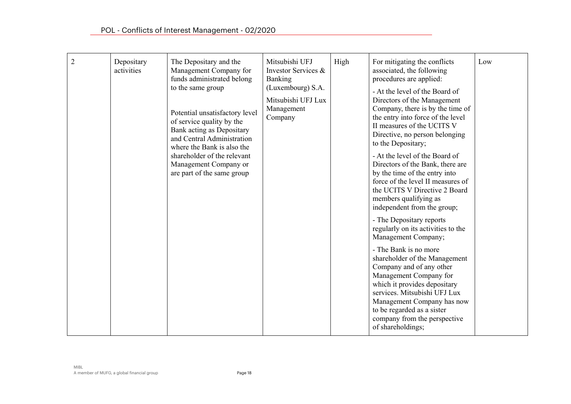| $\overline{2}$ | Depositary<br>activities | The Depositary and the<br>Management Company for<br>funds administrated belong<br>to the same group<br>Potential unsatisfactory level<br>of service quality by the<br>Bank acting as Depositary<br>and Central Administration<br>where the Bank is also the<br>shareholder of the relevant<br>Management Company or<br>are part of the same group | Mitsubishi UFJ<br>Investor Services &<br><b>Banking</b><br>(Luxembourg) S.A.<br>Mitsubishi UFJ Lux<br>Management<br>Company | High | For mitigating the conflicts<br>associated, the following<br>procedures are applied:<br>- At the level of the Board of<br>Directors of the Management<br>Company, there is by the time of<br>the entry into force of the level<br>II measures of the UCITS V<br>Directive, no person belonging<br>to the Depositary;<br>- At the level of the Board of<br>Directors of the Bank, there are<br>by the time of the entry into<br>force of the level II measures of<br>the UCITS V Directive 2 Board<br>members qualifying as<br>independent from the group;<br>- The Depositary reports<br>regularly on its activities to the<br>Management Company;<br>- The Bank is no more<br>shareholder of the Management<br>Company and of any other<br>Management Company for | Low |
|----------------|--------------------------|---------------------------------------------------------------------------------------------------------------------------------------------------------------------------------------------------------------------------------------------------------------------------------------------------------------------------------------------------|-----------------------------------------------------------------------------------------------------------------------------|------|--------------------------------------------------------------------------------------------------------------------------------------------------------------------------------------------------------------------------------------------------------------------------------------------------------------------------------------------------------------------------------------------------------------------------------------------------------------------------------------------------------------------------------------------------------------------------------------------------------------------------------------------------------------------------------------------------------------------------------------------------------------------|-----|
|                |                          |                                                                                                                                                                                                                                                                                                                                                   |                                                                                                                             |      | which it provides depositary<br>services. Mitsubishi UFJ Lux<br>Management Company has now<br>to be regarded as a sister<br>company from the perspective<br>of shareholdings;                                                                                                                                                                                                                                                                                                                                                                                                                                                                                                                                                                                      |     |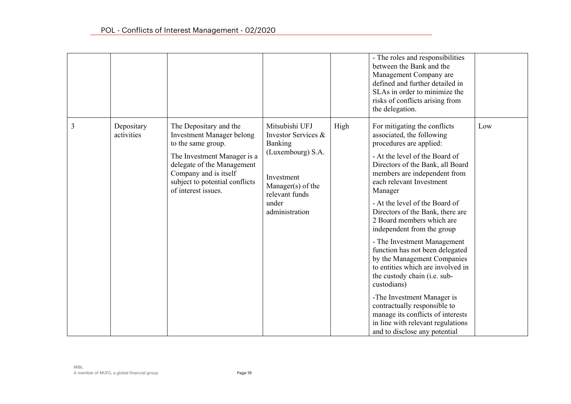|   |                          |                                                                                                                                                                                                                                 |                                                                                                                                                              |      | - The roles and responsibilities<br>between the Bank and the<br>Management Company are<br>defined and further detailed in<br>SLAs in order to minimize the<br>risks of conflicts arising from<br>the delegation.                                                                                                                                                                                                                                                                                                                                                                                                                                                                                                                 |     |
|---|--------------------------|---------------------------------------------------------------------------------------------------------------------------------------------------------------------------------------------------------------------------------|--------------------------------------------------------------------------------------------------------------------------------------------------------------|------|----------------------------------------------------------------------------------------------------------------------------------------------------------------------------------------------------------------------------------------------------------------------------------------------------------------------------------------------------------------------------------------------------------------------------------------------------------------------------------------------------------------------------------------------------------------------------------------------------------------------------------------------------------------------------------------------------------------------------------|-----|
| 3 | Depositary<br>activities | The Depositary and the<br><b>Investment Manager belong</b><br>to the same group.<br>The Investment Manager is a<br>delegate of the Management<br>Company and is itself<br>subject to potential conflicts<br>of interest issues. | Mitsubishi UFJ<br>Investor Services &<br><b>Banking</b><br>(Luxembourg) S.A.<br>Investment<br>Manager(s) of the<br>relevant funds<br>under<br>administration | High | For mitigating the conflicts<br>associated, the following<br>procedures are applied:<br>- At the level of the Board of<br>Directors of the Bank, all Board<br>members are independent from<br>each relevant Investment<br>Manager<br>- At the level of the Board of<br>Directors of the Bank, there are<br>2 Board members which are<br>independent from the group<br>- The Investment Management<br>function has not been delegated<br>by the Management Companies<br>to entities which are involved in<br>the custody chain (i.e. sub-<br>custodians)<br>-The Investment Manager is<br>contractually responsible to<br>manage its conflicts of interests<br>in line with relevant regulations<br>and to disclose any potential | Low |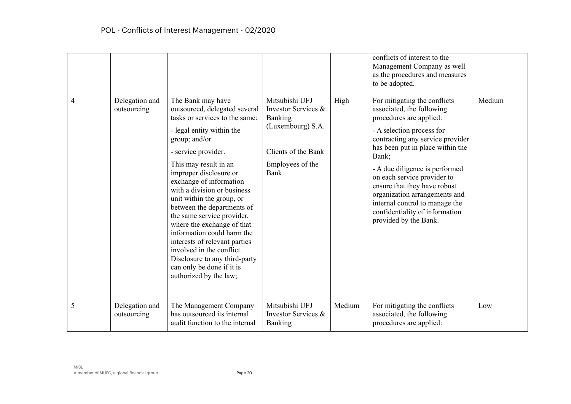|   |                               |                                                                                                                                                                                                                                                                                                                                                                                                                                                                                                                                                                                   |                                                                                                                                        |        | conflicts of interest to the<br>Management Company as well<br>as the procedures and measures<br>to be adopted.                                                                                                                                                                                                                                                                                                                    |        |
|---|-------------------------------|-----------------------------------------------------------------------------------------------------------------------------------------------------------------------------------------------------------------------------------------------------------------------------------------------------------------------------------------------------------------------------------------------------------------------------------------------------------------------------------------------------------------------------------------------------------------------------------|----------------------------------------------------------------------------------------------------------------------------------------|--------|-----------------------------------------------------------------------------------------------------------------------------------------------------------------------------------------------------------------------------------------------------------------------------------------------------------------------------------------------------------------------------------------------------------------------------------|--------|
| 4 | Delegation and<br>outsourcing | The Bank may have<br>outsourced, delegated several<br>tasks or services to the same:<br>- legal entity within the<br>group; and/or<br>- service provider.<br>This may result in an<br>improper disclosure or<br>exchange of information<br>with a division or business<br>unit within the group, or<br>between the departments of<br>the same service provider,<br>where the exchange of that<br>information could harm the<br>interests of relevant parties<br>involved in the conflict.<br>Disclosure to any third-party<br>can only be done if it is<br>authorized by the law; | Mitsubishi UFJ<br>Investor Services &<br><b>Banking</b><br>(Luxembourg) S.A.<br>Clients of the Bank<br>Employees of the<br><b>Bank</b> | High   | For mitigating the conflicts<br>associated, the following<br>procedures are applied:<br>- A selection process for<br>contracting any service provider<br>has been put in place within the<br>Bank;<br>- A due diligence is performed<br>on each service provider to<br>ensure that they have robust<br>organization arrangements and<br>internal control to manage the<br>confidentiality of information<br>provided by the Bank. | Medium |
| 5 | Delegation and<br>outsourcing | The Management Company<br>has outsourced its internal<br>audit function to the internal                                                                                                                                                                                                                                                                                                                                                                                                                                                                                           | Mitsubishi UFJ<br>Investor Services &<br>Banking                                                                                       | Medium | For mitigating the conflicts<br>associated, the following<br>procedures are applied:                                                                                                                                                                                                                                                                                                                                              | Low    |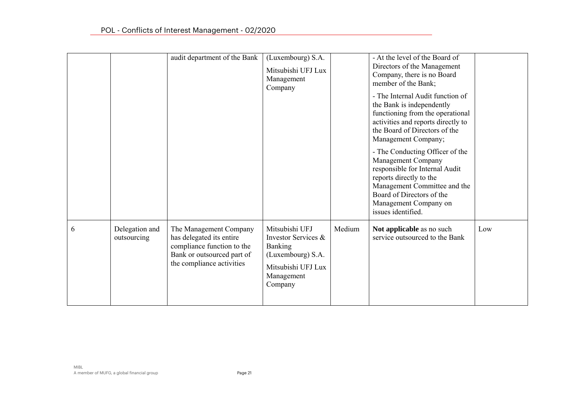|   |                               | audit department of the Bank                                                                                                                | (Luxembourg) S.A.<br>Mitsubishi UFJ Lux<br>Management<br>Company                                                            |        | - At the level of the Board of<br>Directors of the Management<br>Company, there is no Board<br>member of the Bank;<br>- The Internal Audit function of<br>the Bank is independently<br>functioning from the operational<br>activities and reports directly to<br>the Board of Directors of the<br>Management Company;<br>- The Conducting Officer of the<br>Management Company<br>responsible for Internal Audit<br>reports directly to the<br>Management Committee and the<br>Board of Directors of the<br>Management Company on<br>issues identified. |     |
|---|-------------------------------|---------------------------------------------------------------------------------------------------------------------------------------------|-----------------------------------------------------------------------------------------------------------------------------|--------|---------------------------------------------------------------------------------------------------------------------------------------------------------------------------------------------------------------------------------------------------------------------------------------------------------------------------------------------------------------------------------------------------------------------------------------------------------------------------------------------------------------------------------------------------------|-----|
| 6 | Delegation and<br>outsourcing | The Management Company<br>has delegated its entire<br>compliance function to the<br>Bank or outsourced part of<br>the compliance activities | Mitsubishi UFJ<br>Investor Services &<br><b>Banking</b><br>(Luxembourg) S.A.<br>Mitsubishi UFJ Lux<br>Management<br>Company | Medium | Not applicable as no such<br>service outsourced to the Bank                                                                                                                                                                                                                                                                                                                                                                                                                                                                                             | Low |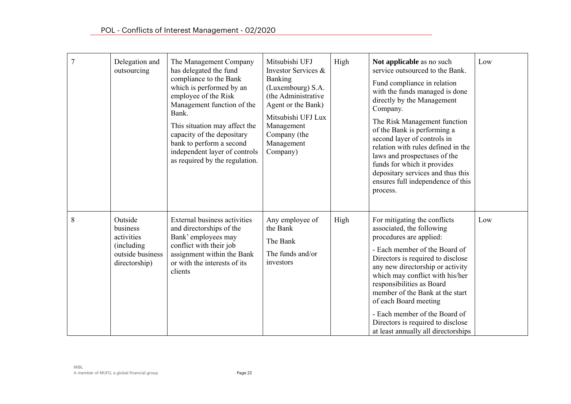| $\overline{7}$ | Delegation and<br>outsourcing                                                         | The Management Company<br>has delegated the fund<br>compliance to the Bank<br>which is performed by an<br>employee of the Risk<br>Management function of the<br>Bank.<br>This situation may affect the<br>capacity of the depositary<br>bank to perform a second<br>independent layer of controls<br>as required by the regulation. | Mitsubishi UFJ<br>Investor Services &<br>Banking<br>(Luxembourg) S.A.<br>(the Administrative<br>Agent or the Bank)<br>Mitsubishi UFJ Lux<br>Management<br>Company (the<br>Management<br>Company) | High | Not applicable as no such<br>service outsourced to the Bank.<br>Fund compliance in relation<br>with the funds managed is done<br>directly by the Management<br>Company.<br>The Risk Management function<br>of the Bank is performing a<br>second layer of controls in<br>relation with rules defined in the<br>laws and prospectuses of the<br>funds for which it provides<br>depositary services and thus this<br>ensures full independence of this<br>process. | Low |
|----------------|---------------------------------------------------------------------------------------|-------------------------------------------------------------------------------------------------------------------------------------------------------------------------------------------------------------------------------------------------------------------------------------------------------------------------------------|--------------------------------------------------------------------------------------------------------------------------------------------------------------------------------------------------|------|------------------------------------------------------------------------------------------------------------------------------------------------------------------------------------------------------------------------------------------------------------------------------------------------------------------------------------------------------------------------------------------------------------------------------------------------------------------|-----|
| $\,8\,$        | Outside<br>business<br>activities<br>(including)<br>outside business<br>directorship) | External business activities<br>and directorships of the<br>Bank' employees may<br>conflict with their job<br>assignment within the Bank<br>or with the interests of its<br>clients                                                                                                                                                 | Any employee of<br>the Bank<br>The Bank<br>The funds and/or<br>investors                                                                                                                         | High | For mitigating the conflicts<br>associated, the following<br>procedures are applied:<br>- Each member of the Board of<br>Directors is required to disclose<br>any new directorship or activity<br>which may conflict with his/her<br>responsibilities as Board<br>member of the Bank at the start<br>of each Board meeting<br>- Each member of the Board of<br>Directors is required to disclose<br>at least annually all directorships                          | Low |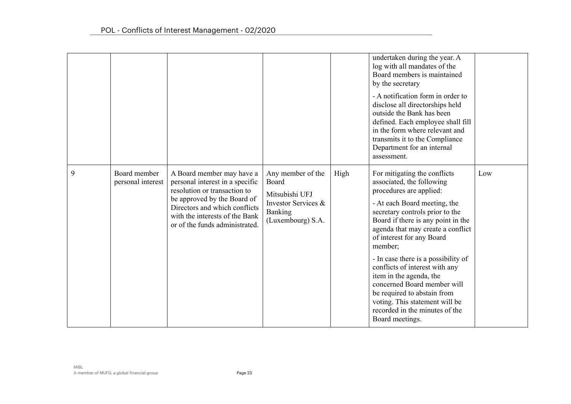|   |                                   |                                                                                                                                                                                                                                  |                                                                                                            |      | undertaken during the year. A<br>log with all mandates of the<br>Board members is maintained<br>by the secretary<br>- A notification form in order to<br>disclose all directorships held<br>outside the Bank has been<br>defined. Each employee shall fill<br>in the form where relevant and<br>transmits it to the Compliance<br>Department for an internal<br>assessment.                                                                                                                                                         |     |
|---|-----------------------------------|----------------------------------------------------------------------------------------------------------------------------------------------------------------------------------------------------------------------------------|------------------------------------------------------------------------------------------------------------|------|-------------------------------------------------------------------------------------------------------------------------------------------------------------------------------------------------------------------------------------------------------------------------------------------------------------------------------------------------------------------------------------------------------------------------------------------------------------------------------------------------------------------------------------|-----|
| 9 | Board member<br>personal interest | A Board member may have a<br>personal interest in a specific<br>resolution or transaction to<br>be approved by the Board of<br>Directors and which conflicts<br>with the interests of the Bank<br>or of the funds administrated. | Any member of the<br>Board<br>Mitsubishi UFJ<br>Investor Services &<br><b>Banking</b><br>(Luxembourg) S.A. | High | For mitigating the conflicts<br>associated, the following<br>procedures are applied:<br>- At each Board meeting, the<br>secretary controls prior to the<br>Board if there is any point in the<br>agenda that may create a conflict<br>of interest for any Board<br>member;<br>- In case there is a possibility of<br>conflicts of interest with any<br>item in the agenda, the<br>concerned Board member will<br>be required to abstain from<br>voting. This statement will be<br>recorded in the minutes of the<br>Board meetings. | Low |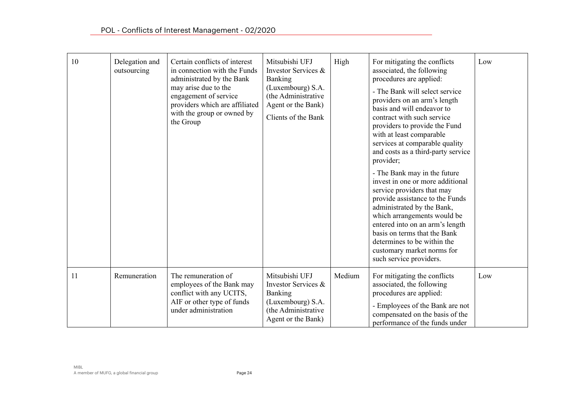| 10 | Delegation and<br>outsourcing | Certain conflicts of interest<br>in connection with the Funds<br>administrated by the Bank<br>may arise due to the<br>engagement of service<br>providers which are affiliated<br>with the group or owned by<br>the Group | Mitsubishi UFJ<br>Investor Services &<br><b>Banking</b><br>(Luxembourg) S.A.<br>(the Administrative<br>Agent or the Bank)<br>Clients of the Bank | High   | For mitigating the conflicts<br>associated, the following<br>procedures are applied:<br>- The Bank will select service<br>providers on an arm's length<br>basis and will endeavor to<br>contract with such service<br>providers to provide the Fund<br>with at least comparable<br>services at comparable quality<br>and costs as a third-party service<br>provider;<br>- The Bank may in the future<br>invest in one or more additional<br>service providers that may<br>provide assistance to the Funds<br>administrated by the Bank,<br>which arrangements would be<br>entered into on an arm's length<br>basis on terms that the Bank<br>determines to be within the<br>customary market norms for<br>such service providers. | Low |
|----|-------------------------------|--------------------------------------------------------------------------------------------------------------------------------------------------------------------------------------------------------------------------|--------------------------------------------------------------------------------------------------------------------------------------------------|--------|-----------------------------------------------------------------------------------------------------------------------------------------------------------------------------------------------------------------------------------------------------------------------------------------------------------------------------------------------------------------------------------------------------------------------------------------------------------------------------------------------------------------------------------------------------------------------------------------------------------------------------------------------------------------------------------------------------------------------------------|-----|
| 11 | Remuneration                  | The remuneration of<br>employees of the Bank may<br>conflict with any UCITS,<br>AIF or other type of funds<br>under administration                                                                                       | Mitsubishi UFJ<br>Investor Services &<br><b>Banking</b><br>(Luxembourg) S.A.<br>(the Administrative<br>Agent or the Bank)                        | Medium | For mitigating the conflicts<br>associated, the following<br>procedures are applied:<br>- Employees of the Bank are not<br>compensated on the basis of the<br>performance of the funds under                                                                                                                                                                                                                                                                                                                                                                                                                                                                                                                                      | Low |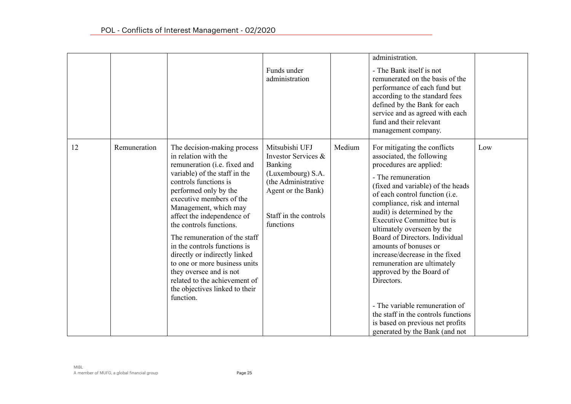|    |              |                                                                                                                                                                                                                                                                                                                                                                                                                                                                                                                                    | Funds under<br>administration                                                                                                                             |        | administration.<br>- The Bank itself is not<br>remunerated on the basis of the<br>performance of each fund but<br>according to the standard fees<br>defined by the Bank for each<br>service and as agreed with each<br>fund and their relevant<br>management company.                                                                                                                                                                                                                                                                                                                                                                     |     |
|----|--------------|------------------------------------------------------------------------------------------------------------------------------------------------------------------------------------------------------------------------------------------------------------------------------------------------------------------------------------------------------------------------------------------------------------------------------------------------------------------------------------------------------------------------------------|-----------------------------------------------------------------------------------------------------------------------------------------------------------|--------|-------------------------------------------------------------------------------------------------------------------------------------------------------------------------------------------------------------------------------------------------------------------------------------------------------------------------------------------------------------------------------------------------------------------------------------------------------------------------------------------------------------------------------------------------------------------------------------------------------------------------------------------|-----|
| 12 | Remuneration | The decision-making process<br>in relation with the<br>remuneration (i.e. fixed and<br>variable) of the staff in the<br>controls functions is<br>performed only by the<br>executive members of the<br>Management, which may<br>affect the independence of<br>the controls functions.<br>The remuneration of the staff<br>in the controls functions is<br>directly or indirectly linked<br>to one or more business units<br>they oversee and is not<br>related to the achievement of<br>the objectives linked to their<br>function. | Mitsubishi UFJ<br>Investor Services &<br>Banking<br>(Luxembourg) S.A.<br>(the Administrative)<br>Agent or the Bank)<br>Staff in the controls<br>functions | Medium | For mitigating the conflicts<br>associated, the following<br>procedures are applied:<br>- The remuneration<br>(fixed and variable) of the heads<br>of each control function (i.e.<br>compliance, risk and internal<br>audit) is determined by the<br><b>Executive Committee but is</b><br>ultimately overseen by the<br>Board of Directors. Individual<br>amounts of bonuses or<br>increase/decrease in the fixed<br>remuneration are ultimately<br>approved by the Board of<br>Directors.<br>- The variable remuneration of<br>the staff in the controls functions<br>is based on previous net profits<br>generated by the Bank (and not | Low |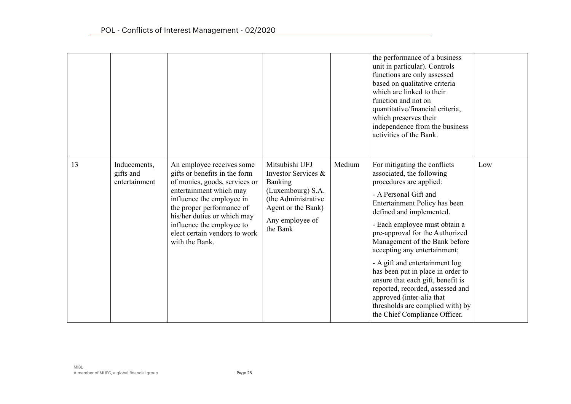|    |                                            |                                                                                                                                                                                                                                                                                                 |                                                                                                                                                          |        | the performance of a business<br>unit in particular). Controls<br>functions are only assessed<br>based on qualitative criteria<br>which are linked to their<br>function and not on<br>quantitative/financial criteria,<br>which preserves their<br>independence from the business<br>activities of the Bank.                                                                                                                                                                                                                                                      |     |
|----|--------------------------------------------|-------------------------------------------------------------------------------------------------------------------------------------------------------------------------------------------------------------------------------------------------------------------------------------------------|----------------------------------------------------------------------------------------------------------------------------------------------------------|--------|-------------------------------------------------------------------------------------------------------------------------------------------------------------------------------------------------------------------------------------------------------------------------------------------------------------------------------------------------------------------------------------------------------------------------------------------------------------------------------------------------------------------------------------------------------------------|-----|
| 13 | Inducements,<br>gifts and<br>entertainment | An employee receives some<br>gifts or benefits in the form<br>of monies, goods, services or<br>entertainment which may<br>influence the employee in<br>the proper performance of<br>his/her duties or which may<br>influence the employee to<br>elect certain vendors to work<br>with the Bank. | Mitsubishi UFJ<br>Investor Services &<br><b>Banking</b><br>(Luxembourg) S.A.<br>(the Administrative<br>Agent or the Bank)<br>Any employee of<br>the Bank | Medium | For mitigating the conflicts<br>associated, the following<br>procedures are applied:<br>- A Personal Gift and<br>Entertainment Policy has been<br>defined and implemented.<br>- Each employee must obtain a<br>pre-approval for the Authorized<br>Management of the Bank before<br>accepting any entertainment;<br>- A gift and entertainment log<br>has been put in place in order to<br>ensure that each gift, benefit is<br>reported, recorded, assessed and<br>approved (inter-alia that<br>thresholds are complied with) by<br>the Chief Compliance Officer. | Low |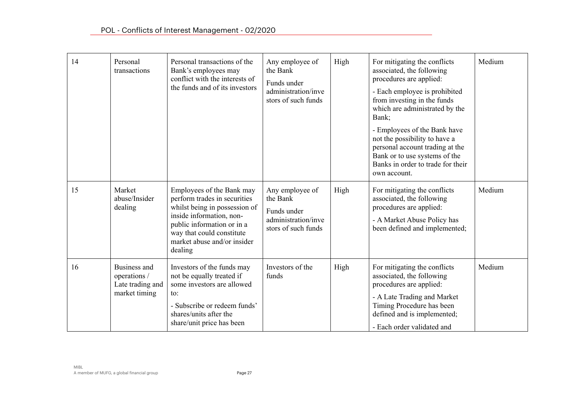| 14 | Personal<br>transactions                                                 | Personal transactions of the<br>Bank's employees may<br>conflict with the interests of<br>the funds and of its investors                                                                                                    | Any employee of<br>the Bank<br>Funds under<br>administration/inve<br>stors of such funds | High | For mitigating the conflicts<br>associated, the following<br>procedures are applied:<br>- Each employee is prohibited<br>from investing in the funds<br>which are administrated by the<br>Bank;<br>- Employees of the Bank have<br>not the possibility to have a<br>personal account trading at the<br>Bank or to use systems of the<br>Banks in order to trade for their<br>own account. | Medium |
|----|--------------------------------------------------------------------------|-----------------------------------------------------------------------------------------------------------------------------------------------------------------------------------------------------------------------------|------------------------------------------------------------------------------------------|------|-------------------------------------------------------------------------------------------------------------------------------------------------------------------------------------------------------------------------------------------------------------------------------------------------------------------------------------------------------------------------------------------|--------|
| 15 | Market<br>abuse/Insider<br>dealing                                       | Employees of the Bank may<br>perform trades in securities<br>whilst being in possession of<br>inside information, non-<br>public information or in a<br>way that could constitute<br>market abuse and/or insider<br>dealing | Any employee of<br>the Bank<br>Funds under<br>administration/inve<br>stors of such funds | High | For mitigating the conflicts<br>associated, the following<br>procedures are applied:<br>- A Market Abuse Policy has<br>been defined and implemented;                                                                                                                                                                                                                                      | Medium |
| 16 | <b>Business and</b><br>operations /<br>Late trading and<br>market timing | Investors of the funds may<br>not be equally treated if<br>some investors are allowed<br>to:<br>- Subscribe or redeem funds'<br>shares/units after the<br>share/unit price has been                                         | Investors of the<br>funds                                                                | High | For mitigating the conflicts<br>associated, the following<br>procedures are applied:<br>- A Late Trading and Market<br>Timing Procedure has been<br>defined and is implemented;<br>- Each order validated and                                                                                                                                                                             | Medium |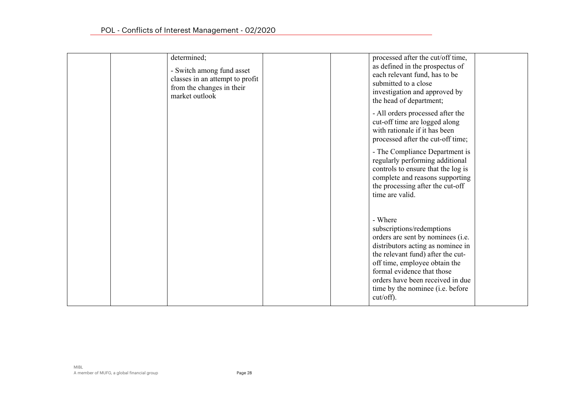| determined;<br>- Switch among fund asset<br>classes in an attempt to profit<br>from the changes in their<br>market outlook |  | processed after the cut/off time,<br>as defined in the prospectus of<br>each relevant fund, has to be<br>submitted to a close<br>investigation and approved by<br>the head of department;                                                                                                                          |  |
|----------------------------------------------------------------------------------------------------------------------------|--|--------------------------------------------------------------------------------------------------------------------------------------------------------------------------------------------------------------------------------------------------------------------------------------------------------------------|--|
|                                                                                                                            |  | - All orders processed after the<br>cut-off time are logged along<br>with rationale if it has been<br>processed after the cut-off time;                                                                                                                                                                            |  |
|                                                                                                                            |  | - The Compliance Department is<br>regularly performing additional<br>controls to ensure that the log is<br>complete and reasons supporting<br>the processing after the cut-off<br>time are valid.                                                                                                                  |  |
|                                                                                                                            |  | - Where<br>subscriptions/redemptions<br>orders are sent by nominees (i.e.<br>distributors acting as nominee in<br>the relevant fund) after the cut-<br>off time, employee obtain the<br>formal evidence that those<br>orders have been received in due<br>time by the nominee ( <i>i.e.</i> before<br>$cut/off)$ . |  |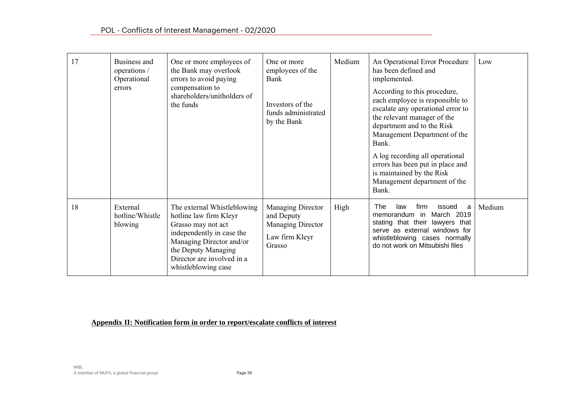| 17 | Business and<br>operations /<br>Operational<br>errors | One or more employees of<br>the Bank may overlook<br>errors to avoid paying<br>compensation to<br>shareholders/unitholders of<br>the funds                                                                       | One or more<br>employees of the<br>Bank<br>Investors of the<br>funds administrated<br>by the Bank | Medium | An Operational Error Procedure<br>has been defined and<br>implemented.<br>According to this procedure,<br>each employee is responsible to<br>escalate any operational error to<br>the relevant manager of the<br>department and to the Risk<br>Management Department of the<br>Bank.<br>A log recording all operational<br>errors has been put in place and<br>is maintained by the Risk<br>Management department of the<br>Bank. | Low    |
|----|-------------------------------------------------------|------------------------------------------------------------------------------------------------------------------------------------------------------------------------------------------------------------------|---------------------------------------------------------------------------------------------------|--------|-----------------------------------------------------------------------------------------------------------------------------------------------------------------------------------------------------------------------------------------------------------------------------------------------------------------------------------------------------------------------------------------------------------------------------------|--------|
| 18 | External<br>hotline/Whistle<br>blowing                | The external Whistleblowing<br>hotline law firm Kleyr<br>Grasso may not act<br>independently in case the<br>Managing Director and/or<br>the Deputy Managing<br>Director are involved in a<br>whistleblowing case | Managing Director<br>and Deputy<br>Managing Director<br>Law firm Kleyr<br>Grasso                  | High   | The<br>firm<br>issued<br>law<br>a<br>March 2019<br>memorandum in<br>stating that their lawyers that<br>serve as external windows for<br>whistleblowing cases normally<br>do not work on Mitsubishi files                                                                                                                                                                                                                          | Medium |

#### **Appendix II: Notification form in order to report/escalate conflicts of interest**